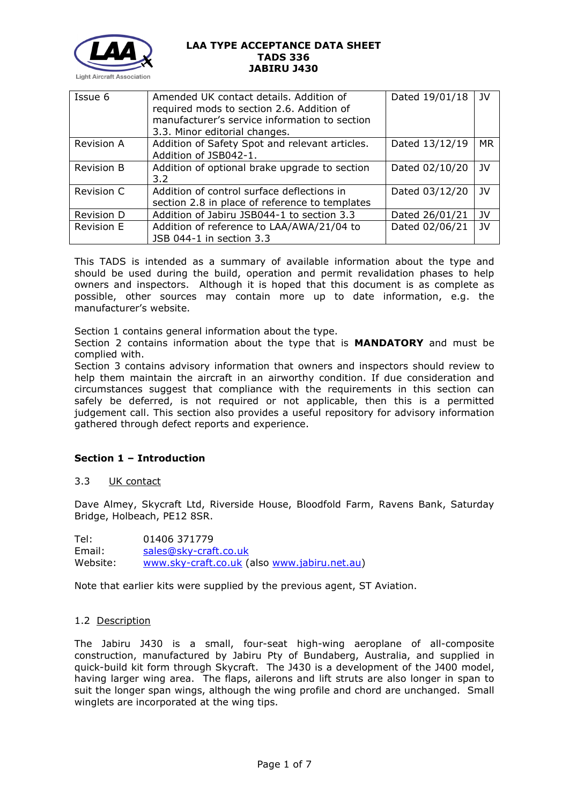

| Issue 6           | Amended UK contact details. Addition of<br>required mods to section 2.6. Addition of<br>manufacturer's service information to section<br>3.3. Minor editorial changes. | Dated 19/01/18 | JV        |
|-------------------|------------------------------------------------------------------------------------------------------------------------------------------------------------------------|----------------|-----------|
| <b>Revision A</b> | Addition of Safety Spot and relevant articles.<br>Addition of JSB042-1.                                                                                                | Dated 13/12/19 | <b>MR</b> |
| <b>Revision B</b> | Addition of optional brake upgrade to section<br>$3.2^{\circ}$                                                                                                         | Dated 02/10/20 | JV.       |
| Revision C        | Addition of control surface deflections in<br>section 2.8 in place of reference to templates                                                                           | Dated 03/12/20 | JV        |
| Revision D        | Addition of Jabiru JSB044-1 to section 3.3                                                                                                                             | Dated 26/01/21 | JV        |
| <b>Revision E</b> | Addition of reference to LAA/AWA/21/04 to<br>JSB 044-1 in section 3.3                                                                                                  | Dated 02/06/21 | <b>JV</b> |

This TADS is intended as a summary of available information about the type and should be used during the build, operation and permit revalidation phases to help owners and inspectors. Although it is hoped that this document is as complete as possible, other sources may contain more up to date information, e.g. the manufacturer's website.

Section 1 contains general information about the type.

Section 2 contains information about the type that is **MANDATORY** and must be complied with.

Section 3 contains advisory information that owners and inspectors should review to help them maintain the aircraft in an airworthy condition. If due consideration and circumstances suggest that compliance with the requirements in this section can safely be deferred, is not required or not applicable, then this is a permitted judgement call. This section also provides a useful repository for advisory information gathered through defect reports and experience.

# **Section 1 – Introduction**

## 3.3 UK contact

Dave Almey, Skycraft Ltd, Riverside House, Bloodfold Farm, Ravens Bank, Saturday Bridge, Holbeach, PE12 8SR.

Tel: 01406 371779 Email: [sales@sky-craft.co.uk](mailto:sales@sky-craft.co.uk) Website: [www.sky-craft.co.uk](http://www.sky-craft.co.uk/) (also [www.jabiru.net.au\)](http://www.jabiru.net.au/)

Note that earlier kits were supplied by the previous agent, ST Aviation.

#### 1.2 Description

The Jabiru J430 is a small, four-seat high-wing aeroplane of all-composite construction, manufactured by Jabiru Pty of Bundaberg, Australia, and supplied in quick-build kit form through Skycraft. The J430 is a development of the J400 model, having larger wing area. The flaps, ailerons and lift struts are also longer in span to suit the longer span wings, although the wing profile and chord are unchanged. Small winglets are incorporated at the wing tips.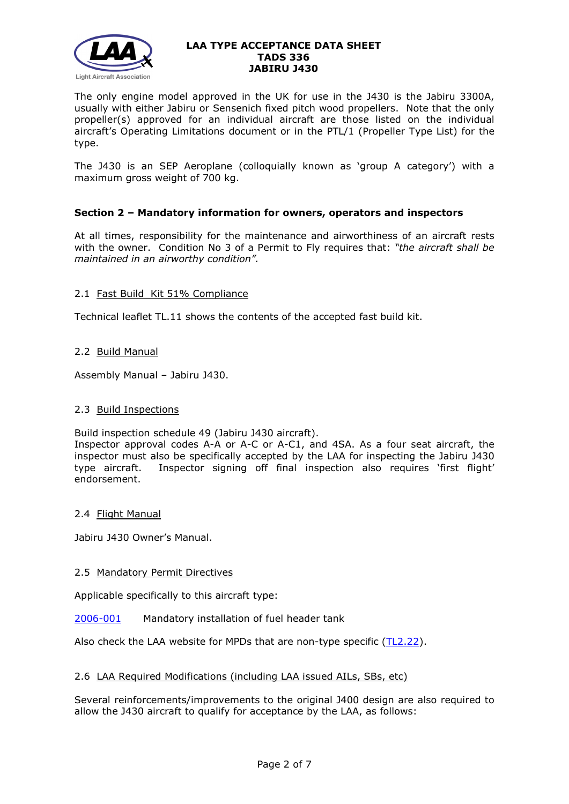

The only engine model approved in the UK for use in the J430 is the Jabiru 3300A, usually with either Jabiru or Sensenich fixed pitch wood propellers. Note that the only propeller(s) approved for an individual aircraft are those listed on the individual aircraft's Operating Limitations document or in the PTL/1 (Propeller Type List) for the type.

The J430 is an SEP Aeroplane (colloquially known as 'group A category') with a maximum gross weight of 700 kg.

## **Section 2 – Mandatory information for owners, operators and inspectors**

At all times, responsibility for the maintenance and airworthiness of an aircraft rests with the owner. Condition No 3 of a Permit to Fly requires that: *"the aircraft shall be maintained in an airworthy condition".* 

## 2.1 Fast Build Kit 51% Compliance

Technical leaflet TL.11 shows the contents of the accepted fast build kit.

## 2.2 Build Manual

Assembly Manual – Jabiru J430.

## 2.3 Build Inspections

Build inspection schedule 49 (Jabiru J430 aircraft).

Inspector approval codes A-A or A-C or A-C1, and 4SA. As a four seat aircraft, the inspector must also be specifically accepted by the LAA for inspecting the Jabiru J430 type aircraft. Inspector signing off final inspection also requires 'first flight' endorsement.

## 2.4 Flight Manual

Jabiru J430 Owner's Manual.

## 2.5 Mandatory Permit Directives

Applicable specifically to this aircraft type:

[2006-001](http://www.lightaircraftassociation.co.uk/engineering/TADs/336/MPD2006-001.pdf) Mandatory installation of fuel header tank

Also check the LAA website for MPDs that are non-type specific [\(TL2.22\)](http://www.lightaircraftassociation.co.uk/engineering/TechnicalLeaflets/Operating%20An%20Aircraft/TL%202.22%20non-type%20specific%20MPDs.pdf).

## 2.6 LAA Required Modifications (including LAA issued AILs, SBs, etc)

Several reinforcements/improvements to the original J400 design are also required to allow the J430 aircraft to qualify for acceptance by the LAA, as follows: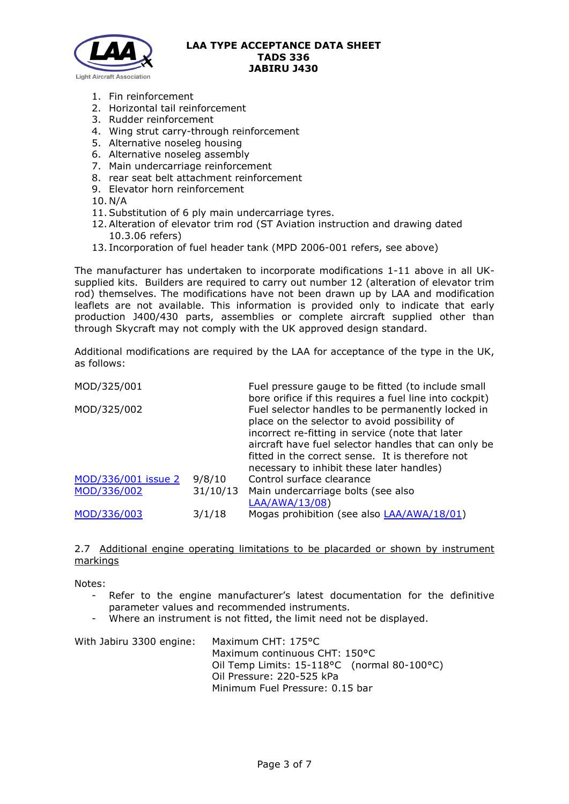

- 1. Fin reinforcement
- 2. Horizontal tail reinforcement
- 3. Rudder reinforcement
- 4. Wing strut carry-through reinforcement
- 5. Alternative noseleg housing
- 6. Alternative noseleg assembly
- 7. Main undercarriage reinforcement
- 8. rear seat belt attachment reinforcement
- 9. Elevator horn reinforcement
- 10. N/A
- 11.Substitution of 6 ply main undercarriage tyres.
- 12.Alteration of elevator trim rod (ST Aviation instruction and drawing dated 10.3.06 refers)
- 13. Incorporation of fuel header tank (MPD 2006-001 refers, see above)

The manufacturer has undertaken to incorporate modifications 1-11 above in all UKsupplied kits. Builders are required to carry out number 12 (alteration of elevator trim rod) themselves. The modifications have not been drawn up by LAA and modification leaflets are not available. This information is provided only to indicate that early production J400/430 parts, assemblies or complete aircraft supplied other than through Skycraft may not comply with the UK approved design standard.

Additional modifications are required by the LAA for acceptance of the type in the UK, as follows:

| MOD/325/001         |          | Fuel pressure gauge to be fitted (to include small      |
|---------------------|----------|---------------------------------------------------------|
|                     |          | bore orifice if this requires a fuel line into cockpit) |
| MOD/325/002         |          | Fuel selector handles to be permanently locked in       |
|                     |          | place on the selector to avoid possibility of           |
|                     |          | incorrect re-fitting in service (note that later        |
|                     |          | aircraft have fuel selector handles that can only be    |
|                     |          | fitted in the correct sense. It is therefore not        |
|                     |          | necessary to inhibit these later handles)               |
| MOD/336/001 issue 2 | 9/8/10   | Control surface clearance                               |
| MOD/336/002         | 31/10/13 | Main undercarriage bolts (see also                      |
|                     |          | LAA/AWA/13/08)                                          |
| MOD/336/003         | 3/1/18   | Mogas prohibition (see also <b>LAA/AWA/18/01</b> )      |

## 2.7 Additional engine operating limitations to be placarded or shown by instrument markings

Notes:

- Refer to the engine manufacturer's latest documentation for the definitive parameter values and recommended instruments.
- Where an instrument is not fitted, the limit need not be displayed.

| With Jabiru 3300 engine: | Maximum CHT: 175°C                          |
|--------------------------|---------------------------------------------|
|                          | Maximum continuous CHT: 150°C               |
|                          | Oil Temp Limits: 15-118°C (normal 80-100°C) |
|                          | Oil Pressure: 220-525 kPa                   |
|                          | Minimum Fuel Pressure: 0.15 bar             |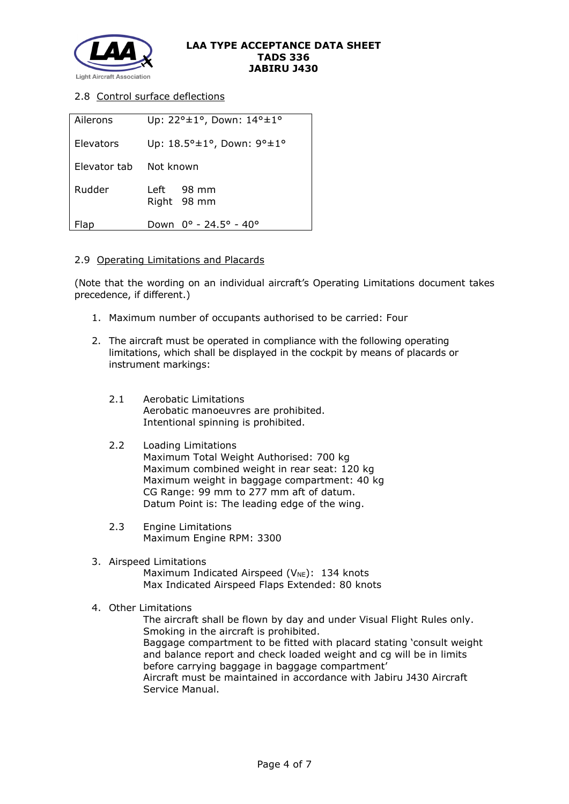

## 2.8 Control surface deflections

| Ailerons     | Up: $22^{\circ} \pm 1^{\circ}$ , Down: $14^{\circ} \pm 1^{\circ}$  |
|--------------|--------------------------------------------------------------------|
| Elevators    | Up: $18.5^{\circ} \pm 1^{\circ}$ , Down: $9^{\circ} \pm 1^{\circ}$ |
| Elevator tab | Not known                                                          |
| Rudder       | Left 98 mm<br>Right 98 mm                                          |
| Flap         | Down 0° - 24.5° - 40°                                              |

### 2.9 Operating Limitations and Placards

(Note that the wording on an individual aircraft's Operating Limitations document takes precedence, if different.)

- 1. Maximum number of occupants authorised to be carried: Four
- 2. The aircraft must be operated in compliance with the following operating limitations, which shall be displayed in the cockpit by means of placards or instrument markings:
	- 2.1 Aerobatic Limitations Aerobatic manoeuvres are prohibited. Intentional spinning is prohibited.

#### 2.2 Loading Limitations

Maximum Total Weight Authorised: 700 kg Maximum combined weight in rear seat: 120 kg Maximum weight in baggage compartment: 40 kg CG Range: 99 mm to 277 mm aft of datum. Datum Point is: The leading edge of the wing.

- 2.3 Engine Limitations Maximum Engine RPM: 3300
- 3. Airspeed Limitations Maximum Indicated Airspeed ( $V_{NE}$ ): 134 knots Max Indicated Airspeed Flaps Extended: 80 knots
- 4. Other Limitations

The aircraft shall be flown by day and under Visual Flight Rules only. Smoking in the aircraft is prohibited. Baggage compartment to be fitted with placard stating 'consult weight and balance report and check loaded weight and cg will be in limits before carrying baggage in baggage compartment' Aircraft must be maintained in accordance with Jabiru J430 Aircraft Service Manual.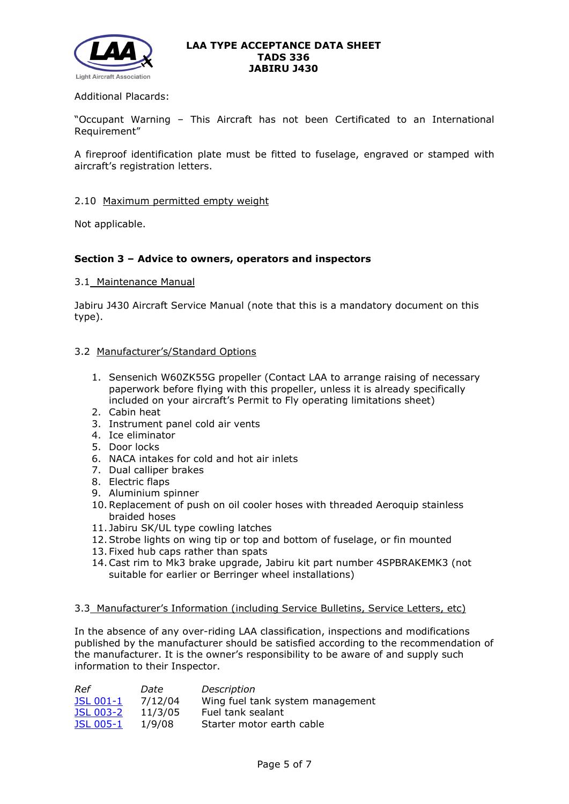

## Additional Placards:

"Occupant Warning – This Aircraft has not been Certificated to an International Requirement"

A fireproof identification plate must be fitted to fuselage, engraved or stamped with aircraft's registration letters.

#### 2.10 Maximum permitted empty weight

Not applicable.

## **Section 3 – Advice to owners, operators and inspectors**

#### 3.1 Maintenance Manual

Jabiru J430 Aircraft Service Manual (note that this is a mandatory document on this type).

### 3.2 Manufacturer's/Standard Options

- 1. Sensenich W60ZK55G propeller (Contact LAA to arrange raising of necessary paperwork before flying with this propeller, unless it is already specifically included on your aircraft's Permit to Fly operating limitations sheet)
- 2. Cabin heat
- 3. Instrument panel cold air vents
- 4. Ice eliminator
- 5. Door locks
- 6. NACA intakes for cold and hot air inlets
- 7. Dual calliper brakes
- 8. Electric flaps
- 9. Aluminium spinner
- 10.Replacement of push on oil cooler hoses with threaded Aeroquip stainless braided hoses
- 11. Jabiru SK/UL type cowling latches
- 12.Strobe lights on wing tip or top and bottom of fuselage, or fin mounted
- 13. Fixed hub caps rather than spats
- 14.Cast rim to Mk3 brake upgrade, Jabiru kit part number 4SPBRAKEMK3 (not suitable for earlier or Berringer wheel installations)

## 3.3 Manufacturer's Information (including Service Bulletins, Service Letters, etc)

In the absence of any over-riding LAA classification, inspections and modifications published by the manufacturer should be satisfied according to the recommendation of the manufacturer. It is the owner's responsibility to be aware of and supply such information to their Inspector.

| Ref              | Date    | Description                      |
|------------------|---------|----------------------------------|
| JSL 001-1        | 7/12/04 | Wing fuel tank system management |
| <b>JSL 003-2</b> | 11/3/05 | Fuel tank sealant                |
| <b>JSL 005-1</b> | 1/9/08  | Starter motor earth cable        |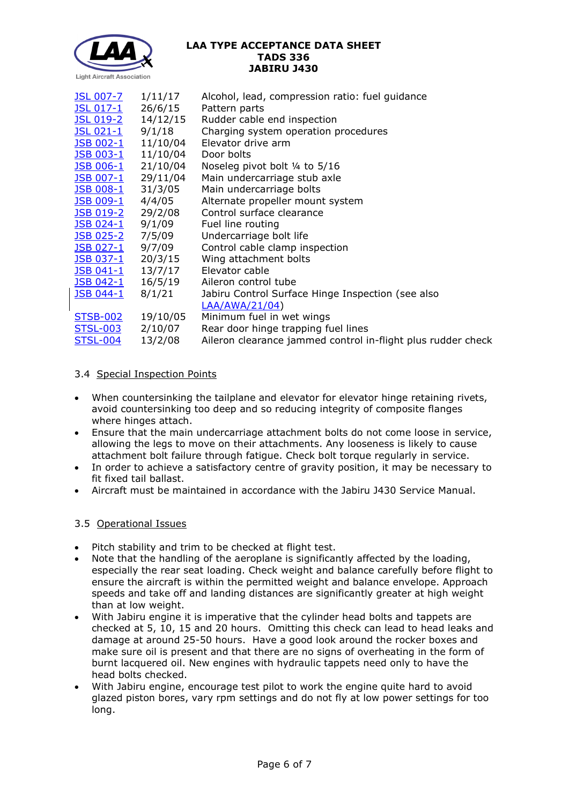

| <u>JSL 007-7</u>  | 1/11/17                  | Alcohol, lead, compression ratio: fuel guidance              |
|-------------------|--------------------------|--------------------------------------------------------------|
| <u>JSL 017-1</u>  | 26/6/15                  | Pattern parts                                                |
| <u>JSL 019-2</u>  | 14/12/15                 | Rudder cable end inspection                                  |
| JSL 021-1         | 9/1/18                   | Charging system operation procedures                         |
| <u>JSB 002-1</u>  | 11/10/04                 | Elevator drive arm                                           |
| JSB 003-1         | 11/10/04                 | Door bolts                                                   |
| JSB 006-1         | 21/10/04                 | Noseleg pivot bolt 1/4 to 5/16                               |
| <b>JSB 007-1</b>  | 29/11/04                 | Main undercarriage stub axle                                 |
| <b>JSB 008-1</b>  | 31/3/05                  | Main undercarriage bolts                                     |
| <b>JSB 009-1</b>  | 4/4/05                   | Alternate propeller mount system                             |
| <u> JSB 019-2</u> | 29/2/08                  | Control surface clearance                                    |
| JSB 024-1 9/1/09  |                          | Fuel line routing                                            |
|                   | <u>JSB 025-2</u> 7/5/09  | Undercarriage bolt life                                      |
| <u> JSB 027-1</u> | 9/7/09                   | Control cable clamp inspection                               |
|                   | <u>JSB 037-1</u> 20/3/15 | Wing attachment bolts                                        |
|                   | <u>JSB 041-1</u> 13/7/17 | Elevator cable                                               |
|                   | <u>JSB 042-1</u> 16/5/19 | Aileron control tube                                         |
| JSB 044-1         | 8/1/21                   | Jabiru Control Surface Hinge Inspection (see also            |
|                   |                          | LAA/AWA/21/04)                                               |
| <b>STSB-002</b>   | 19/10/05                 | Minimum fuel in wet wings                                    |
| <u>STSL-003</u>   | 2/10/07                  | Rear door hinge trapping fuel lines                          |
| <b>STSL-004</b>   | 13/2/08                  | Aileron clearance jammed control in-flight plus rudder check |

# 3.4 Special Inspection Points

- When countersinking the tailplane and elevator for elevator hinge retaining rivets, avoid countersinking too deep and so reducing integrity of composite flanges where hinges attach.
- Ensure that the main undercarriage attachment bolts do not come loose in service, allowing the legs to move on their attachments. Any looseness is likely to cause attachment bolt failure through fatigue. Check bolt torque regularly in service.
- In order to achieve a satisfactory centre of gravity position, it may be necessary to fit fixed tail ballast.
- Aircraft must be maintained in accordance with the Jabiru J430 Service Manual.

# 3.5 Operational Issues

- Pitch stability and trim to be checked at flight test.
- Note that the handling of the aeroplane is significantly affected by the loading, especially the rear seat loading. Check weight and balance carefully before flight to ensure the aircraft is within the permitted weight and balance envelope. Approach speeds and take off and landing distances are significantly greater at high weight than at low weight.
- With Jabiru engine it is imperative that the cylinder head bolts and tappets are checked at 5, 10, 15 and 20 hours. Omitting this check can lead to head leaks and damage at around 25-50 hours. Have a good look around the rocker boxes and make sure oil is present and that there are no signs of overheating in the form of burnt lacquered oil. New engines with hydraulic tappets need only to have the head bolts checked.
- With Jabiru engine, encourage test pilot to work the engine quite hard to avoid glazed piston bores, vary rpm settings and do not fly at low power settings for too long.